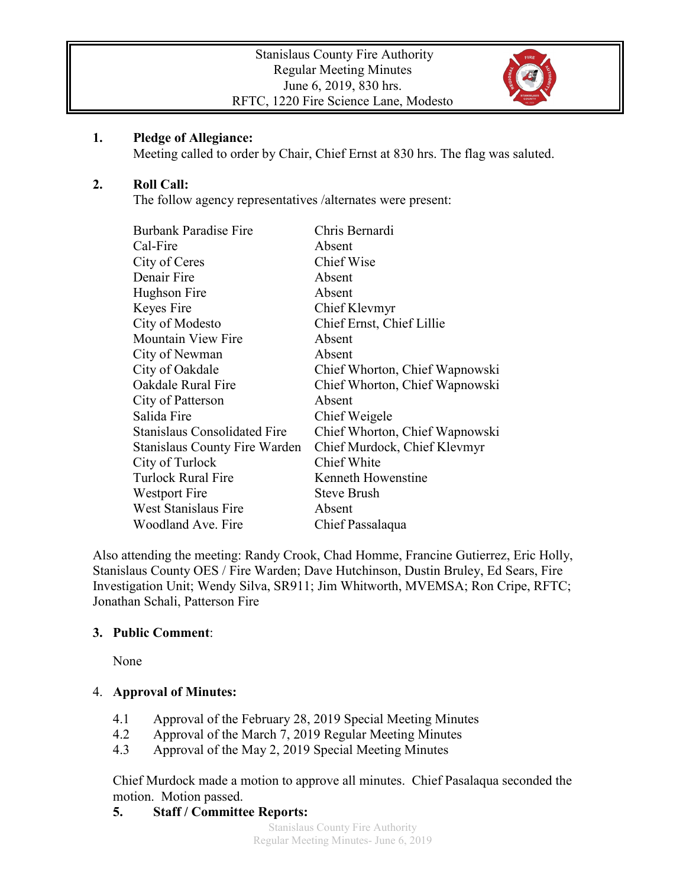

### **1. Pledge of Allegiance:**

Meeting called to order by Chair, Chief Ernst at 830 hrs. The flag was saluted.

## **2. Roll Call:**

The follow agency representatives /alternates were present:

| <b>Burbank Paradise Fire</b>         | Chris Bernardi                 |
|--------------------------------------|--------------------------------|
| Cal-Fire                             | Absent                         |
| City of Ceres                        | <b>Chief Wise</b>              |
| Denair Fire                          | Absent                         |
| Hughson Fire                         | Absent                         |
| Keyes Fire                           | Chief Klevmyr                  |
| City of Modesto                      | Chief Ernst, Chief Lillie      |
| <b>Mountain View Fire</b>            | Absent                         |
| City of Newman                       | Absent                         |
| City of Oakdale                      | Chief Whorton, Chief Wapnowski |
| Oakdale Rural Fire                   | Chief Whorton, Chief Wapnowski |
| City of Patterson                    | Absent                         |
| Salida Fire                          | Chief Weigele                  |
| <b>Stanislaus Consolidated Fire</b>  | Chief Whorton, Chief Wapnowski |
| <b>Stanislaus County Fire Warden</b> | Chief Murdock, Chief Klevmyr   |
| City of Turlock                      | Chief White                    |
| <b>Turlock Rural Fire</b>            | Kenneth Howenstine             |
| Westport Fire                        | <b>Steve Brush</b>             |
| West Stanislaus Fire                 | Absent                         |
| Woodland Ave. Fire                   | Chief Passalaqua               |

Also attending the meeting: Randy Crook, Chad Homme, Francine Gutierrez, Eric Holly, Stanislaus County OES / Fire Warden; Dave Hutchinson, Dustin Bruley, Ed Sears, Fire Investigation Unit; Wendy Silva, SR911; Jim Whitworth, MVEMSA; Ron Cripe, RFTC; Jonathan Schali, Patterson Fire

### **3. Public Comment**:

None

### 4. **Approval of Minutes:**

- 4.1 Approval of the February 28, 2019 Special Meeting Minutes
- 4.2 Approval of the March 7, 2019 Regular Meeting Minutes
- 4.3 Approval of the May 2, 2019 Special Meeting Minutes

Chief Murdock made a motion to approve all minutes. Chief Pasalaqua seconded the motion. Motion passed.

### **5. Staff / Committee Reports:**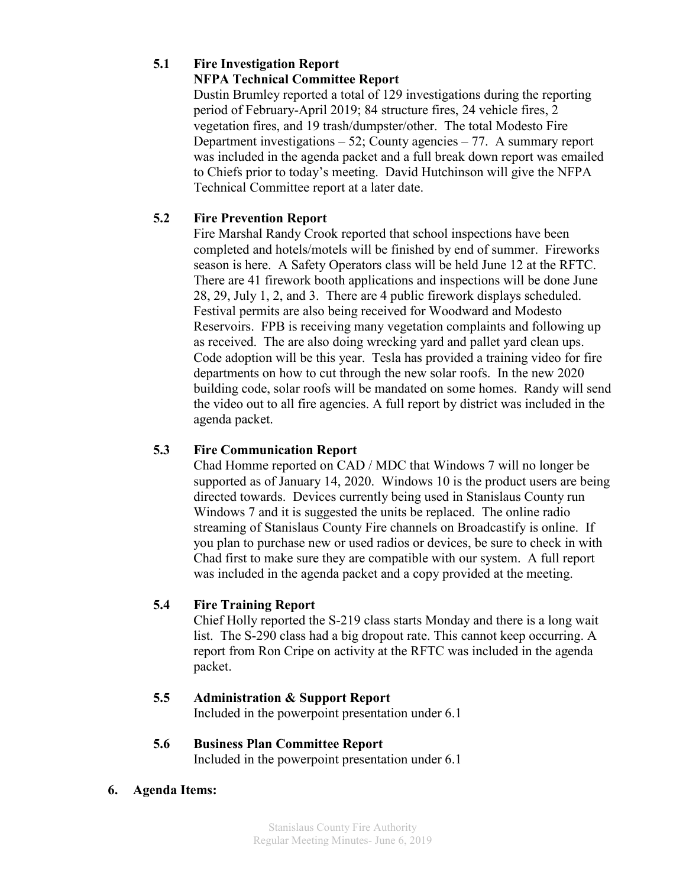# **5.1 Fire Investigation Report**

# **NFPA Technical Committee Report**

Dustin Brumley reported a total of 129 investigations during the reporting period of February-April 2019; 84 structure fires, 24 vehicle fires, 2 vegetation fires, and 19 trash/dumpster/other. The total Modesto Fire Department investigations  $-52$ ; County agencies  $-77$ . A summary report was included in the agenda packet and a full break down report was emailed to Chiefs prior to today's meeting. David Hutchinson will give the NFPA Technical Committee report at a later date.

# **5.2 Fire Prevention Report**

Fire Marshal Randy Crook reported that school inspections have been completed and hotels/motels will be finished by end of summer. Fireworks season is here. A Safety Operators class will be held June 12 at the RFTC. There are 41 firework booth applications and inspections will be done June 28, 29, July 1, 2, and 3. There are 4 public firework displays scheduled. Festival permits are also being received for Woodward and Modesto Reservoirs. FPB is receiving many vegetation complaints and following up as received. The are also doing wrecking yard and pallet yard clean ups. Code adoption will be this year. Tesla has provided a training video for fire departments on how to cut through the new solar roofs. In the new 2020 building code, solar roofs will be mandated on some homes. Randy will send the video out to all fire agencies. A full report by district was included in the agenda packet.

## **5.3 Fire Communication Report**

Chad Homme reported on CAD / MDC that Windows 7 will no longer be supported as of January 14, 2020. Windows 10 is the product users are being directed towards. Devices currently being used in Stanislaus County run Windows 7 and it is suggested the units be replaced. The online radio streaming of Stanislaus County Fire channels on Broadcastify is online. If you plan to purchase new or used radios or devices, be sure to check in with Chad first to make sure they are compatible with our system. A full report was included in the agenda packet and a copy provided at the meeting.

### **5.4 Fire Training Report**

Chief Holly reported the S-219 class starts Monday and there is a long wait list. The S-290 class had a big dropout rate. This cannot keep occurring. A report from Ron Cripe on activity at the RFTC was included in the agenda packet.

# **5.5 Administration & Support Report**

Included in the powerpoint presentation under 6.1

### **5.6 Business Plan Committee Report**

Included in the powerpoint presentation under 6.1

### **6. Agenda Items:**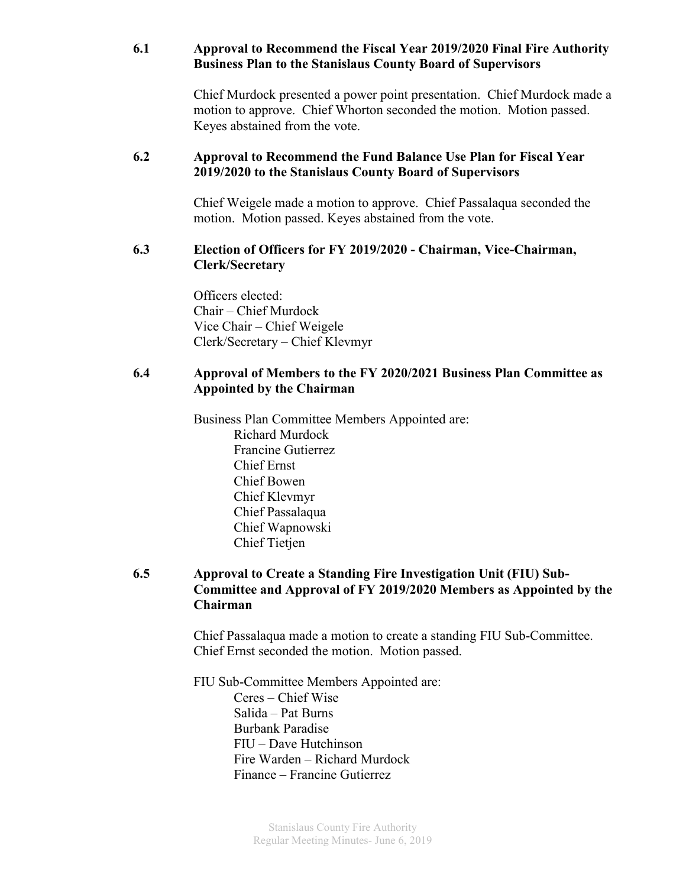### **6.1 Approval to Recommend the Fiscal Year 2019/2020 Final Fire Authority Business Plan to the Stanislaus County Board of Supervisors**

Chief Murdock presented a power point presentation. Chief Murdock made a motion to approve. Chief Whorton seconded the motion. Motion passed. Keyes abstained from the vote.

### **6.2 Approval to Recommend the Fund Balance Use Plan for Fiscal Year 2019/2020 to the Stanislaus County Board of Supervisors**

Chief Weigele made a motion to approve. Chief Passalaqua seconded the motion. Motion passed. Keyes abstained from the vote.

### **6.3 Election of Officers for FY 2019/2020 - Chairman, Vice-Chairman, Clerk/Secretary**

Officers elected: Chair – Chief Murdock Vice Chair – Chief Weigele Clerk/Secretary – Chief Klevmyr

## **6.4 Approval of Members to the FY 2020/2021 Business Plan Committee as Appointed by the Chairman**

Business Plan Committee Members Appointed are: Richard Murdock Francine Gutierrez Chief Ernst Chief Bowen Chief Klevmyr Chief Passalaqua Chief Wapnowski Chief Tietjen

## **6.5 Approval to Create a Standing Fire Investigation Unit (FIU) Sub-Committee and Approval of FY 2019/2020 Members as Appointed by the Chairman**

Chief Passalaqua made a motion to create a standing FIU Sub-Committee. Chief Ernst seconded the motion. Motion passed.

FIU Sub-Committee Members Appointed are: Ceres – Chief Wise Salida – Pat Burns Burbank Paradise FIU – Dave Hutchinson Fire Warden – Richard Murdock Finance – Francine Gutierrez